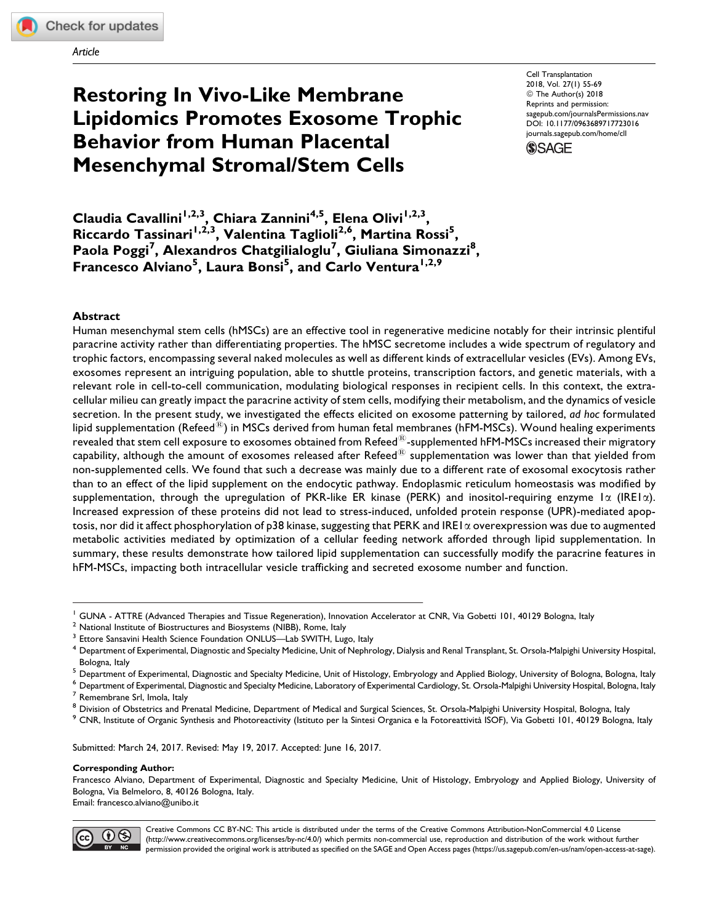Article

# Restoring In Vivo-Like Membrane Lipidomics Promotes Exosome Trophic Behavior from Human Placental Mesenchymal Stromal/Stem Cells

Cell Transplantation 2018, Vol. 27(1) 55-69 © The Author(s) 2018 Reprints and permission: [sagepub.com/journalsPermissions.nav](https://us.sagepub.com/en-us/journals-permissions) [DOI: 10.1177/0963689717723016](https://doi.org/10.1177/0963689717723016) [journals.sagepub.com/home/cll](http://journals.sagepub.com/home/cll)



Claudia Cavallini<sup>1,2,3</sup>, Chiara Zannini<sup>4,5</sup>, Elena Olivi<sup>1,2,3</sup>, Riccardo Tassinari<sup>1,2,3</sup>, Valentina Taglioli<sup>2,6</sup>, Martina Rossi<sup>5</sup>, Paola Poggi<sup>7</sup>, Alexandros Chatgilialoglu<sup>7</sup>, Giuliana Simonazzi<sup>8</sup>, Francesco Alviano<sup>5</sup>, Laura Bonsi<sup>5</sup>, and Carlo Ventura<sup>1,2,9</sup>

#### Abstract

Human mesenchymal stem cells (hMSCs) are an effective tool in regenerative medicine notably for their intrinsic plentiful paracrine activity rather than differentiating properties. The hMSC secretome includes a wide spectrum of regulatory and trophic factors, encompassing several naked molecules as well as different kinds of extracellular vesicles (EVs). Among EVs, exosomes represent an intriguing population, able to shuttle proteins, transcription factors, and genetic materials, with a relevant role in cell-to-cell communication, modulating biological responses in recipient cells. In this context, the extracellular milieu can greatly impact the paracrine activity of stem cells, modifying their metabolism, and the dynamics of vesicle secretion. In the present study, we investigated the effects elicited on exosome patterning by tailored, ad hoc formulated lipid supplementation (Refeed ${}^{\text{(R)}}$ ) in MSCs derived from human fetal membranes (hFM-MSCs). Wound healing experiments revealed that stem cell exposure to exosomes obtained from Refeed<sup>®</sup>-supplemented hFM-MSCs increased their migratory capability, although the amount of exosomes released after Refeed $^{\circledR}$  supplementation was lower than that yielded from non-supplemented cells. We found that such a decrease was mainly due to a different rate of exosomal exocytosis rather than to an effect of the lipid supplement on the endocytic pathway. Endoplasmic reticulum homeostasis was modified by supplementation, through the upregulation of PKR-like ER kinase (PERK) and inositol-requiring enzyme  $1\alpha$  (IRE1 $\alpha$ ). Increased expression of these proteins did not lead to stress-induced, unfolded protein response (UPR)-mediated apoptosis, nor did it affect phosphorylation of p38 kinase, suggesting that PERK and IRE1 $\alpha$  overexpression was due to augmented metabolic activities mediated by optimization of a cellular feeding network afforded through lipid supplementation. In summary, these results demonstrate how tailored lipid supplementation can successfully modify the paracrine features in hFM-MSCs, impacting both intracellular vesicle trafficking and secreted exosome number and function.

Submitted: March 24, 2017. Revised: May 19, 2017. Accepted: June 16, 2017.

#### Corresponding Author:

Francesco Alviano, Department of Experimental, Diagnostic and Specialty Medicine, Unit of Histology, Embryology and Applied Biology, University of Bologna, Via Belmeloro, 8, 40126 Bologna, Italy. Email: francesco.alviano@unibo.it



Creative Commons CC BY-NC: This article is distributed under the terms of the Creative Commons Attribution-NonCommercial 4.0 License (http://www.creativecommons.org/licenses/by-nc/4.0/) which permits non-commercial use, reproduction and distribution of the work without further permission provided the original work is attributed as specified on the SAGE and Open Access pages (https://us.sagepub.com/en-us/nam/open-access-at-sage).

<sup>&</sup>lt;sup>1</sup> GUNA - ATTRE (Advanced Therapies and Tissue Regeneration), Innovation Accelerator at CNR, Via Gobetti 101, 40129 Bologna, Italy

 $2$  National Institute of Biostructures and Biosystems (NIBB), Rome, Italy

<sup>&</sup>lt;sup>3</sup> Ettore Sansavini Health Science Foundation ONLUS—Lab SWITH, Lugo, Italy

<sup>&</sup>lt;sup>4</sup> Department of Experimental, Diagnostic and Specialty Medicine, Unit of Nephrology, Dialysis and Renal Transplant, St. Orsola-Malpighi University Hospital, Bologna, Italy<br><sup>5</sup> Department of Experimental, Diagnostic and Specialty Medicine, Unit of Histology, Embryology and Applied Biology, University of Bologna, Bologna, Italy

 $^6$  Department of Experimental, Diagnostic and Specialty Medicine, Laboratory of Experimental Cardiology, St. Orsola-Malpighi University Hospital, Bologna, Italy<br><sup>7</sup> Remembrane Srl, Imola, Italy

<sup>&</sup>lt;sup>8</sup> Division of Obstetrics and Prenatal Medicine, Department of Medical and Surgical Sciences, St. Orsola-Malpighi University Hospital, Bologna, Italy<br><sup>9</sup> CNR, Institute of Organic Synthesis and Photoreactivity (Istituto p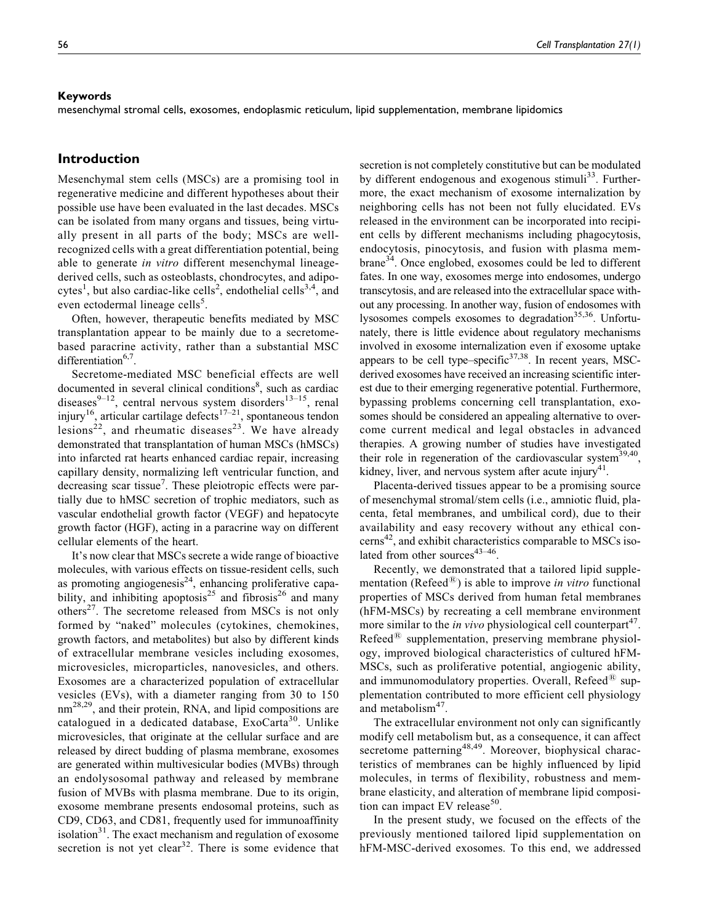#### Keywords

mesenchymal stromal cells, exosomes, endoplasmic reticulum, lipid supplementation, membrane lipidomics

# Introduction

Mesenchymal stem cells (MSCs) are a promising tool in regenerative medicine and different hypotheses about their possible use have been evaluated in the last decades. MSCs can be isolated from many organs and tissues, being virtually present in all parts of the body; MSCs are wellrecognized cells with a great differentiation potential, being able to generate in vitro different mesenchymal lineagederived cells, such as osteoblasts, chondrocytes, and adipocytes<sup>1</sup>, but also cardiac-like cells<sup>2</sup>, endothelial cells<sup>3,4</sup>, and even ectodermal lineage cells<sup>5</sup>.

Often, however, therapeutic benefits mediated by MSC transplantation appear to be mainly due to a secretomebased paracrine activity, rather than a substantial MSC differentiation $6$ <sup>6,7</sup>.

Secretome-mediated MSC beneficial effects are well documented in several clinical conditions<sup>8</sup>, such as cardiac diseases $9-12$ , central nervous system disorders $13-15$ , renal injury<sup>16</sup>, articular cartilage defects<sup>17-21</sup>, spontaneous tendon lesions<sup>22</sup>, and rheumatic diseases<sup>23</sup>. We have already demonstrated that transplantation of human MSCs (hMSCs) into infarcted rat hearts enhanced cardiac repair, increasing capillary density, normalizing left ventricular function, and decreasing scar tissue<sup>7</sup>. These pleiotropic effects were partially due to hMSC secretion of trophic mediators, such as vascular endothelial growth factor (VEGF) and hepatocyte growth factor (HGF), acting in a paracrine way on different cellular elements of the heart.

It's now clear that MSCs secrete a wide range of bioactive molecules, with various effects on tissue-resident cells, such as promoting angiogenesis $^{24}$ , enhancing proliferative capability, and inhibiting apoptosis<sup>25</sup> and fibrosis<sup>26</sup> and many others<sup>27</sup>. The secretome released from MSCs is not only formed by "naked" molecules (cytokines, chemokines, growth factors, and metabolites) but also by different kinds of extracellular membrane vesicles including exosomes, microvesicles, microparticles, nanovesicles, and others. Exosomes are a characterized population of extracellular vesicles (EVs), with a diameter ranging from 30 to 150 nm<sup>28,29</sup>, and their protein, RNA, and lipid compositions are catalogued in a dedicated database, ExoCarta<sup>30</sup>. Unlike microvesicles, that originate at the cellular surface and are released by direct budding of plasma membrane, exosomes are generated within multivesicular bodies (MVBs) through an endolysosomal pathway and released by membrane fusion of MVBs with plasma membrane. Due to its origin, exosome membrane presents endosomal proteins, such as CD9, CD63, and CD81, frequently used for immunoaffinity isolation $31$ . The exact mechanism and regulation of exosome secretion is not yet clear<sup>32</sup>. There is some evidence that secretion is not completely constitutive but can be modulated by different endogenous and exogenous stimuli<sup>33</sup>. Furthermore, the exact mechanism of exosome internalization by neighboring cells has not been not fully elucidated. EVs released in the environment can be incorporated into recipient cells by different mechanisms including phagocytosis, endocytosis, pinocytosis, and fusion with plasma membrane<sup>34</sup>. Once englobed, exosomes could be led to different fates. In one way, exosomes merge into endosomes, undergo transcytosis, and are released into the extracellular space without any processing. In another way, fusion of endosomes with lysosomes compels exosomes to degradation<sup>35,36</sup>. Unfortunately, there is little evidence about regulatory mechanisms involved in exosome internalization even if exosome uptake appears to be cell type–specific $37,38$ . In recent years, MSCderived exosomes have received an increasing scientific interest due to their emerging regenerative potential. Furthermore, bypassing problems concerning cell transplantation, exosomes should be considered an appealing alternative to overcome current medical and legal obstacles in advanced therapies. A growing number of studies have investigated their role in regeneration of the cardiovascular system $39,40$ , kidney, liver, and nervous system after acute injury<sup>41</sup>.

Placenta-derived tissues appear to be a promising source of mesenchymal stromal/stem cells (i.e., amniotic fluid, placenta, fetal membranes, and umbilical cord), due to their availability and easy recovery without any ethical concerns42, and exhibit characteristics comparable to MSCs isolated from other sources $43-46$ .

Recently, we demonstrated that a tailored lipid supplementation ( $\text{Refeed}^{\textcircled{R}}$ ) is able to improve in vitro functional properties of MSCs derived from human fetal membranes (hFM-MSCs) by recreating a cell membrane environment more similar to the *in vivo* physiological cell counterpart<sup>47</sup>.  $Refeed^{\textcircled{k}}$  supplementation, preserving membrane physiology, improved biological characteristics of cultured hFM-MSCs, such as proliferative potential, angiogenic ability, and immunomodulatory properties. Overall, Refeed $^{\circledR}$  supplementation contributed to more efficient cell physiology and metabolism $47$ .

The extracellular environment not only can significantly modify cell metabolism but, as a consequence, it can affect secretome patterning<sup>48,49</sup>. Moreover, biophysical characteristics of membranes can be highly influenced by lipid molecules, in terms of flexibility, robustness and membrane elasticity, and alteration of membrane lipid composition can impact EV release<sup>50</sup>.

In the present study, we focused on the effects of the previously mentioned tailored lipid supplementation on hFM-MSC-derived exosomes. To this end, we addressed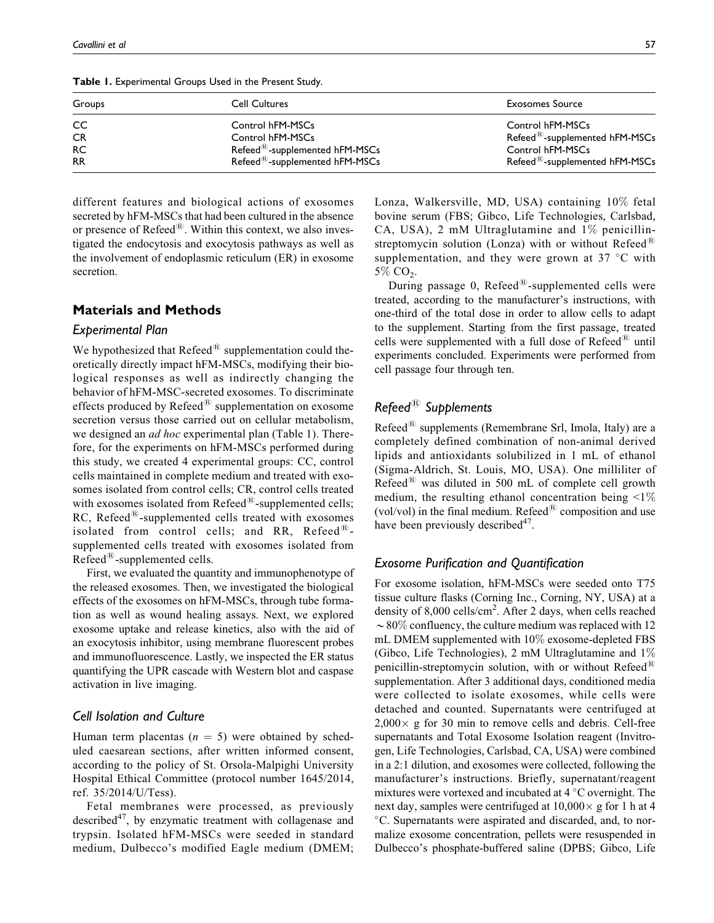Table 1. Experimental Groups Used in the Present Study.

| Groups    | Cell Cultures                                        | <b>Exosomes Source</b>                     |
|-----------|------------------------------------------------------|--------------------------------------------|
| CC        | Control hFM-MSCs                                     | Control hFM-MSCs                           |
| <b>CR</b> | Control hFM-MSCs                                     | Refeed <sup>®</sup> -supplemented hFM-MSCs |
| <b>RC</b> | $\mathsf{Refeed}^{\circledR}$ -supplemented hFM-MSCs | Control hFM-MSCs                           |
| <b>RR</b> | Refeed <sup>®</sup> -supplemented hFM-MSCs           | Refeed <sup>®</sup> -supplemented hFM-MSCs |

different features and biological actions of exosomes secreted by hFM-MSCs that had been cultured in the absence or presence of  $\text{Refeed}^{\circledR}$ . Within this context, we also investigated the endocytosis and exocytosis pathways as well as the involvement of endoplasmic reticulum (ER) in exosome secretion.

# Materials and Methods

#### Experimental Plan

We hypothesized that  $\text{Refeed}^{\textcircled{R}}$  supplementation could theoretically directly impact hFM-MSCs, modifying their biological responses as well as indirectly changing the behavior of hFM-MSC-secreted exosomes. To discriminate effects produced by  $\text{Refeed}^{\textcircled{R}}$  supplementation on exosome secretion versus those carried out on cellular metabolism, we designed an *ad hoc* experimental plan (Table 1). Therefore, for the experiments on hFM-MSCs performed during this study, we created 4 experimental groups: CC, control cells maintained in complete medium and treated with exosomes isolated from control cells; CR, control cells treated with exosomes isolated from  $\text{Refeed}^{\textcircled{E}}$ -supplemented cells;  $RC$ , Refeed<sup>®</sup>-supplemented cells treated with exosomes isolated from control cells; and RR, Refeed $^{\textcircled{k}}$ supplemented cells treated with exosomes isolated from  $Refeed^{\circledR}$ -supplemented cells.

First, we evaluated the quantity and immunophenotype of the released exosomes. Then, we investigated the biological effects of the exosomes on hFM-MSCs, through tube formation as well as wound healing assays. Next, we explored exosome uptake and release kinetics, also with the aid of an exocytosis inhibitor, using membrane fluorescent probes and immunofluorescence. Lastly, we inspected the ER status quantifying the UPR cascade with Western blot and caspase activation in live imaging.

#### Cell Isolation and Culture

Human term placentas  $(n = 5)$  were obtained by scheduled caesarean sections, after written informed consent, according to the policy of St. Orsola-Malpighi University Hospital Ethical Committee (protocol number 1645/2014, ref. 35/2014/U/Tess).

Fetal membranes were processed, as previously described $47$ , by enzymatic treatment with collagenase and trypsin. Isolated hFM-MSCs were seeded in standard medium, Dulbecco's modified Eagle medium (DMEM; Lonza, Walkersville, MD, USA) containing 10% fetal bovine serum (FBS; Gibco, Life Technologies, Carlsbad, CA, USA), 2 mM Ultraglutamine and 1% penicillinstreptomycin solution (Lonza) with or without Refeed<sup>®</sup> supplementation, and they were grown at 37  $\degree$ C with  $5\%$  CO<sub>2</sub>.

During passage 0,  $Refeed^{\circledR}$ -supplemented cells were treated, according to the manufacturer's instructions, with one-third of the total dose in order to allow cells to adapt to the supplement. Starting from the first passage, treated cells were supplemented with a full dose of  $Refeed^{\text{\textregistered}}$  until experiments concluded. Experiments were performed from cell passage four through ten.

# $Refeed^{\circledR}$  Supplements

Refeed<sup>®</sup> supplements (Remembrane Srl, Imola, Italy) are a completely defined combination of non-animal derived lipids and antioxidants solubilized in 1 mL of ethanol (Sigma-Aldrich, St. Louis, MO, USA). One milliliter of Refeed<sup> $(8)$ </sup> was diluted in 500 mL of complete cell growth medium, the resulting ethanol concentration being  $\leq 1\%$ (vol/vol) in the final medium. Refeed $^{(8)}$  composition and use have been previously described $4^2$ .

#### Exosome Purification and Quantification

For exosome isolation, hFM-MSCs were seeded onto T75 tissue culture flasks (Corning Inc., Corning, NY, USA) at a density of 8,000 cells/cm<sup>2</sup>. After 2 days, when cells reached  $\sim$  80% confluency, the culture medium was replaced with 12 mL DMEM supplemented with 10% exosome-depleted FBS (Gibco, Life Technologies), 2 mM Ultraglutamine and 1% penicillin-streptomycin solution, with or without  $Refeed^{\text{\tiny (B)}}$ supplementation. After 3 additional days, conditioned media were collected to isolate exosomes, while cells were detached and counted. Supernatants were centrifuged at  $2,000 \times$  g for 30 min to remove cells and debris. Cell-free supernatants and Total Exosome Isolation reagent (Invitrogen, Life Technologies, Carlsbad, CA, USA) were combined in a 2:1 dilution, and exosomes were collected, following the manufacturer's instructions. Briefly, supernatant/reagent mixtures were vortexed and incubated at  $4^{\circ}$ C overnight. The next day, samples were centrifuged at  $10,000 \times$  g for 1 h at 4 -C. Supernatants were aspirated and discarded, and, to normalize exosome concentration, pellets were resuspended in Dulbecco's phosphate-buffered saline (DPBS; Gibco, Life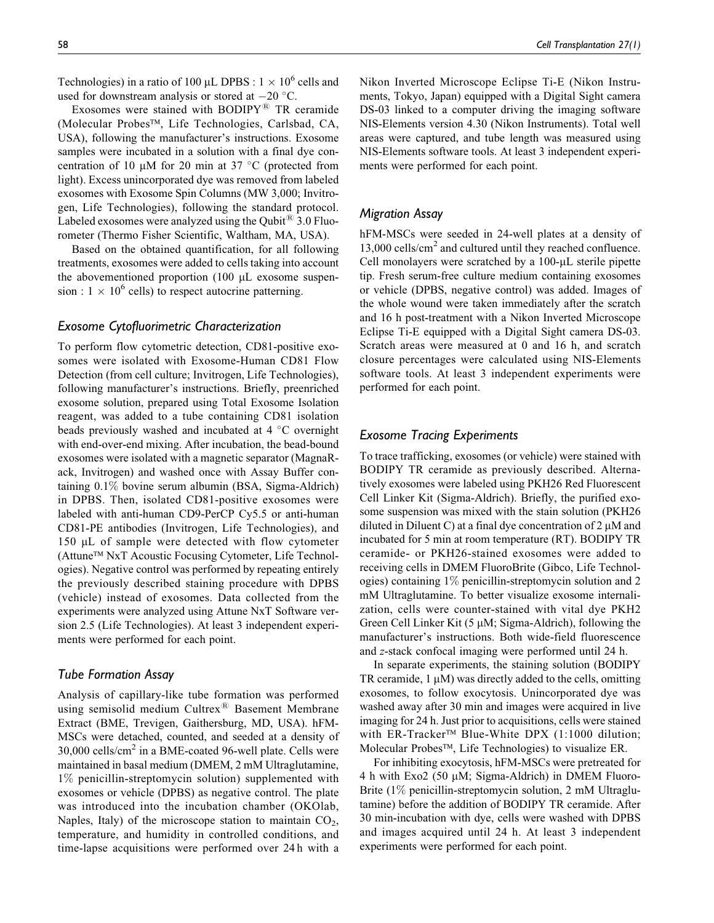Technologies) in a ratio of 100  $\mu$ L DPBS : 1  $\times$  10<sup>6</sup> cells and used for downstream analysis or stored at  $-20$  °C.

Exosomes were stained with  $BODIPY^{\textcircled{R}}$  TR ceramide (Molecular Probes™, Life Technologies, Carlsbad, CA, USA), following the manufacturer's instructions. Exosome samples were incubated in a solution with a final dye concentration of 10  $\mu$ M for 20 min at 37 °C (protected from light). Excess unincorporated dye was removed from labeled exosomes with Exosome Spin Columns (MW 3,000; Invitrogen, Life Technologies), following the standard protocol. Labeled exosomes were analyzed using the Qubit<sup> $48$ </sup> 3.0 Fluorometer (Thermo Fisher Scientific, Waltham, MA, USA).

Based on the obtained quantification, for all following treatments, exosomes were added to cells taking into account the abovementioned proportion (100 µL exosome suspension :  $1 \times 10^6$  cells) to respect autocrine patterning.

#### Exosome Cytofluorimetric Characterization

To perform flow cytometric detection, CD81-positive exosomes were isolated with Exosome-Human CD81 Flow Detection (from cell culture; Invitrogen, Life Technologies), following manufacturer's instructions. Briefly, preenriched exosome solution, prepared using Total Exosome Isolation reagent, was added to a tube containing CD81 isolation beads previously washed and incubated at 4 °C overnight with end-over-end mixing. After incubation, the bead-bound exosomes were isolated with a magnetic separator (MagnaRack, Invitrogen) and washed once with Assay Buffer containing 0.1% bovine serum albumin (BSA, Sigma-Aldrich) in DPBS. Then, isolated CD81-positive exosomes were labeled with anti-human CD9-PerCP Cy5.5 or anti-human CD81-PE antibodies (Invitrogen, Life Technologies), and 150 µL of sample were detected with flow cytometer (Attune™ NxT Acoustic Focusing Cytometer, Life Technologies). Negative control was performed by repeating entirely the previously described staining procedure with DPBS (vehicle) instead of exosomes. Data collected from the experiments were analyzed using Attune NxT Software version 2.5 (Life Technologies). At least 3 independent experiments were performed for each point.

#### Tube Formation Assay

Analysis of capillary-like tube formation was performed using semisolid medium Cultrex<sup>®</sup> Basement Membrane Extract (BME, Trevigen, Gaithersburg, MD, USA). hFM-MSCs were detached, counted, and seeded at a density of  $30,000$  cells/cm<sup>2</sup> in a BME-coated 96-well plate. Cells were maintained in basal medium (DMEM, 2 mM Ultraglutamine, 1% penicillin-streptomycin solution) supplemented with exosomes or vehicle (DPBS) as negative control. The plate was introduced into the incubation chamber (OKOlab, Naples, Italy) of the microscope station to maintain  $CO<sub>2</sub>$ , temperature, and humidity in controlled conditions, and time-lapse acquisitions were performed over 24 h with a Nikon Inverted Microscope Eclipse Ti-E (Nikon Instruments, Tokyo, Japan) equipped with a Digital Sight camera DS-03 linked to a computer driving the imaging software NIS-Elements version 4.30 (Nikon Instruments). Total well areas were captured, and tube length was measured using NIS-Elements software tools. At least 3 independent experiments were performed for each point.

#### Migration Assay

hFM-MSCs were seeded in 24-well plates at a density of 13,000 cells/cm<sup>2</sup> and cultured until they reached confluence. Cell monolayers were scratched by a 100-µL sterile pipette tip. Fresh serum-free culture medium containing exosomes or vehicle (DPBS, negative control) was added. Images of the whole wound were taken immediately after the scratch and 16 h post-treatment with a Nikon Inverted Microscope Eclipse Ti-E equipped with a Digital Sight camera DS-03. Scratch areas were measured at 0 and 16 h, and scratch closure percentages were calculated using NIS-Elements software tools. At least 3 independent experiments were performed for each point.

#### Exosome Tracing Experiments

To trace trafficking, exosomes (or vehicle) were stained with BODIPY TR ceramide as previously described. Alternatively exosomes were labeled using PKH26 Red Fluorescent Cell Linker Kit (Sigma-Aldrich). Briefly, the purified exosome suspension was mixed with the stain solution (PKH26 diluted in Diluent C) at a final dye concentration of  $2 \mu M$  and incubated for 5 min at room temperature (RT). BODIPY TR ceramide- or PKH26-stained exosomes were added to receiving cells in DMEM FluoroBrite (Gibco, Life Technologies) containing 1% penicillin-streptomycin solution and 2 mM Ultraglutamine. To better visualize exosome internalization, cells were counter-stained with vital dye PKH2 Green Cell Linker Kit  $(5 \mu M; Sigma-Aldrich)$ , following the manufacturer's instructions. Both wide-field fluorescence and z-stack confocal imaging were performed until 24 h.

In separate experiments, the staining solution (BODIPY TR ceramide,  $1 \mu$ M) was directly added to the cells, omitting exosomes, to follow exocytosis. Unincorporated dye was washed away after 30 min and images were acquired in live imaging for 24 h. Just prior to acquisitions, cells were stained with ER-Tracker™ Blue-White DPX (1:1000 dilution; Molecular Probes™, Life Technologies) to visualize ER.

For inhibiting exocytosis, hFM-MSCs were pretreated for 4 h with Exo2 (50  $\mu$ M; Sigma-Aldrich) in DMEM Fluoro-Brite (1\%) penicillin-streptomycin solution, 2 mM Ultraglutamine) before the addition of BODIPY TR ceramide. After 30 min-incubation with dye, cells were washed with DPBS and images acquired until 24 h. At least 3 independent experiments were performed for each point.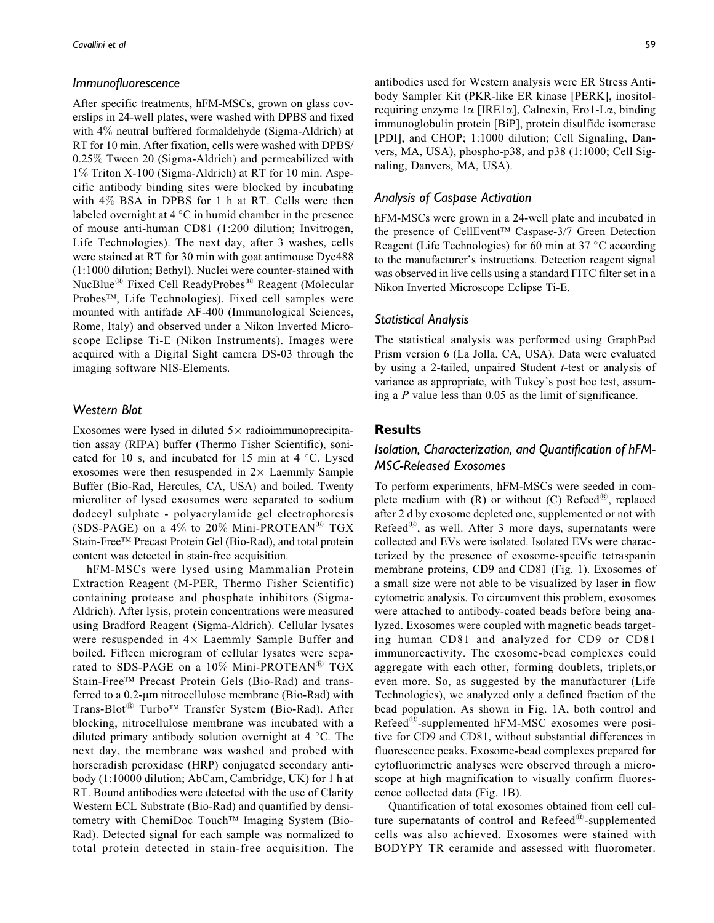#### Immunofluorescence

After specific treatments, hFM-MSCs, grown on glass coverslips in 24-well plates, were washed with DPBS and fixed with 4% neutral buffered formaldehyde (Sigma-Aldrich) at RT for 10 min. After fixation, cells were washed with DPBS/ 0.25% Tween 20 (Sigma-Aldrich) and permeabilized with 1% Triton X-100 (Sigma-Aldrich) at RT for 10 min. Aspecific antibody binding sites were blocked by incubating with 4% BSA in DPBS for 1 h at RT. Cells were then labeled overnight at  $4^{\circ}$ C in humid chamber in the presence of mouse anti-human CD81 (1:200 dilution; Invitrogen, Life Technologies). The next day, after 3 washes, cells were stained at RT for 30 min with goat antimouse Dye488 (1:1000 dilution; Bethyl). Nuclei were counter-stained with NucBlue<sup>®</sup> Fixed Cell ReadyProbes<sup>®</sup> Reagent (Molecular Probes™, Life Technologies). Fixed cell samples were mounted with antifade AF-400 (Immunological Sciences, Rome, Italy) and observed under a Nikon Inverted Microscope Eclipse Ti-E (Nikon Instruments). Images were acquired with a Digital Sight camera DS-03 through the imaging software NIS-Elements.

# Western Blot

Exosomes were lysed in diluted  $5 \times$  radioimmunoprecipitation assay (RIPA) buffer (Thermo Fisher Scientific), sonicated for 10 s, and incubated for 15 min at  $4^{\circ}$ C. Lysed exosomes were then resuspended in  $2 \times$  Laemmly Sample Buffer (Bio-Rad, Hercules, CA, USA) and boiled. Twenty microliter of lysed exosomes were separated to sodium dodecyl sulphate - polyacrylamide gel electrophoresis (SDS-PAGE) on a 4% to 20% Mini-PROTEAN<sup>®</sup> TGX Stain-Free™ Precast Protein Gel (Bio-Rad), and total protein content was detected in stain-free acquisition.

hFM-MSCs were lysed using Mammalian Protein Extraction Reagent (M-PER, Thermo Fisher Scientific) containing protease and phosphate inhibitors (Sigma-Aldrich). After lysis, protein concentrations were measured using Bradford Reagent (Sigma-Aldrich). Cellular lysates were resuspended in  $4 \times$  Laemmly Sample Buffer and boiled. Fifteen microgram of cellular lysates were separated to SDS-PAGE on a  $10\%$  Mini-PROTEAN<sup>®</sup> TGX Stain-Free™ Precast Protein Gels (Bio-Rad) and transferred to a  $0.2$ -µm nitrocellulose membrane (Bio-Rad) with Trans-Blot<sup>®</sup> Turbo™ Transfer System (Bio-Rad). After blocking, nitrocellulose membrane was incubated with a diluted primary antibody solution overnight at  $4^{\circ}$ C. The next day, the membrane was washed and probed with horseradish peroxidase (HRP) conjugated secondary antibody (1:10000 dilution; AbCam, Cambridge, UK) for 1 h at RT. Bound antibodies were detected with the use of Clarity Western ECL Substrate (Bio-Rad) and quantified by densitometry with ChemiDoc Touch™ Imaging System (Bio-Rad). Detected signal for each sample was normalized to total protein detected in stain-free acquisition. The

antibodies used for Western analysis were ER Stress Antibody Sampler Kit (PKR-like ER kinase [PERK], inositolrequiring enzyme  $1\alpha$  [IRE1 $\alpha$ ], Calnexin, Ero1-L $\alpha$ , binding immunoglobulin protein [BiP], protein disulfide isomerase [PDI], and CHOP; 1:1000 dilution; Cell Signaling, Danvers, MA, USA), phospho-p38, and p38 (1:1000; Cell Signaling, Danvers, MA, USA).

# Analysis of Caspase Activation

hFM-MSCs were grown in a 24-well plate and incubated in the presence of CellEvent™ Caspase-3/7 Green Detection Reagent (Life Technologies) for 60 min at 37 °C according to the manufacturer's instructions. Detection reagent signal was observed in live cells using a standard FITC filter set in a Nikon Inverted Microscope Eclipse Ti-E.

#### Statistical Analysis

The statistical analysis was performed using GraphPad Prism version 6 (La Jolla, CA, USA). Data were evaluated by using a 2-tailed, unpaired Student  $t$ -test or analysis of variance as appropriate, with Tukey's post hoc test, assuming a P value less than 0.05 as the limit of significance.

#### Results

# Isolation, Characterization, and Quantification of hFM-MSC-Released Exosomes

To perform experiments, hFM-MSCs were seeded in complete medium with (R) or without (C) Refeed $^{\textcircled{\tiny{R}}}$ , replaced after 2 d by exosome depleted one, supplemented or not with Refeed $^{(8)}$ , as well. After 3 more days, supernatants were collected and EVs were isolated. Isolated EVs were characterized by the presence of exosome-specific tetraspanin membrane proteins, CD9 and CD81 (Fig. 1). Exosomes of a small size were not able to be visualized by laser in flow cytometric analysis. To circumvent this problem, exosomes were attached to antibody-coated beads before being analyzed. Exosomes were coupled with magnetic beads targeting human CD81 and analyzed for CD9 or CD81 immunoreactivity. The exosome-bead complexes could aggregate with each other, forming doublets, triplets,or even more. So, as suggested by the manufacturer (Life Technologies), we analyzed only a defined fraction of the bead population. As shown in Fig. 1A, both control and  $Refeed^{\circledR}$ -supplemented hFM-MSC exosomes were positive for CD9 and CD81, without substantial differences in fluorescence peaks. Exosome-bead complexes prepared for cytofluorimetric analyses were observed through a microscope at high magnification to visually confirm fluorescence collected data (Fig. 1B).

Quantification of total exosomes obtained from cell culture supernatants of control and  $Refeed^{\circledR}$ -supplemented cells was also achieved. Exosomes were stained with BODYPY TR ceramide and assessed with fluorometer.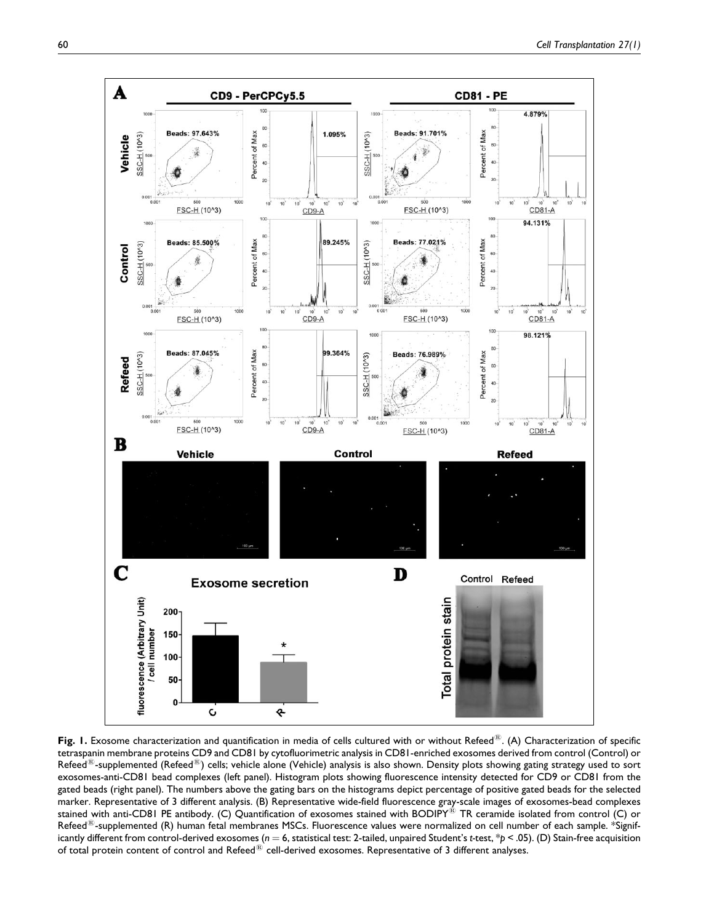

Fig. 1. Exosome characterization and quantification in media of cells cultured with or without Refeed<sup>®</sup>. (A) Characterization of specific tetraspanin membrane proteins CD9 and CD81 by cytofluorimetric analysis in CD81-enriched exosomes derived from control (Control) or Refeed $^{\text{\tiny (0)}}$ -supplemented (Refeed $^{\text{\tiny (0)}}$ ) cells; vehicle alone (Vehicle) analysis is also shown. Density plots showing gating strategy used to sort exosomes-anti-CD81 bead complexes (left panel). Histogram plots showing fluorescence intensity detected for CD9 or CD81 from the gated beads (right panel). The numbers above the gating bars on the histograms depict percentage of positive gated beads for the selected marker. Representative of 3 different analysis. (B) Representative wide-field fluorescence gray-scale images of exosomes-bead complexes stained with anti-CD81 PE antibody. (C) Quantification of exosomes stained with BODIPY<sup>®</sup> TR ceramide isolated from control (C) or Refeed<sup>(R)</sup>-supplemented (R) human fetal membranes MSCs. Fluorescence values were normalized on cell number of each sample. \*Significantly different from control-derived exosomes ( $n = 6$ , statistical test: 2-tailed, unpaired Student's t-test,  $*p < .05$ ). (D) Stain-free acquisition of total protein content of control and Refeed $^{\circledR}$  cell-derived exosomes. Representative of 3 different analyses.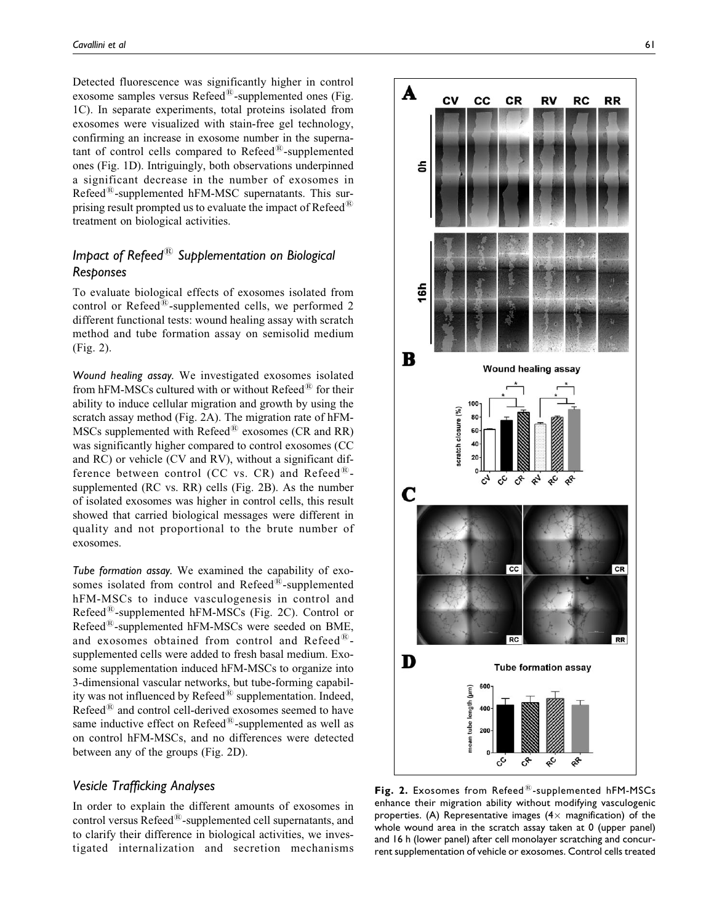Detected fluorescence was significantly higher in control exosome samples versus  $\text{Refeed}^{\textcircled{k}}$ -supplemented ones (Fig. 1C). In separate experiments, total proteins isolated from exosomes were visualized with stain-free gel technology, confirming an increase in exosome number in the supernatant of control cells compared to  $Refeed^{\textcircled{B}}$ -supplemented ones (Fig. 1D). Intriguingly, both observations underpinned a significant decrease in the number of exosomes in Refeed $^{(8)}$ -supplemented hFM-MSC supernatants. This surprising result prompted us to evaluate the impact of  $Refeed^{\circledR}$ treatment on biological activities.

# Impact of Refeed $^{\circledR}$  Supplementation on Biological Responses

To evaluate biological effects of exosomes isolated from control or Refeed $^{\textcircled{k}}$ -supplemented cells, we performed 2 different functional tests: wound healing assay with scratch method and tube formation assay on semisolid medium (Fig. 2).

Wound healing assay. We investigated exosomes isolated from hFM-MSCs cultured with or without Refeed $^{(8)}$  for their ability to induce cellular migration and growth by using the scratch assay method (Fig. 2A). The migration rate of hFM-MSCs supplemented with Refeed $^{(8)}$  exosomes (CR and RR) was significantly higher compared to control exosomes (CC and RC) or vehicle (CV and RV), without a significant difference between control (CC vs. CR) and Refeed $^{\textcircled{\tiny B}}$ supplemented (RC vs. RR) cells (Fig. 2B). As the number of isolated exosomes was higher in control cells, this result showed that carried biological messages were different in quality and not proportional to the brute number of exosomes.

Tube formation assay. We examined the capability of exosomes isolated from control and  $Refeed^{\circledR}$ -supplemented hFM-MSCs to induce vasculogenesis in control and Refeed $^{(8)}$ -supplemented hFM-MSCs (Fig. 2C). Control or Refeed<sup>®</sup>-supplemented hFM-MSCs were seeded on BME, and exosomes obtained from control and Refeed $^{\textcircled{\tiny R}}$ supplemented cells were added to fresh basal medium. Exosome supplementation induced hFM-MSCs to organize into 3-dimensional vascular networks, but tube-forming capability was not influenced by  $\text{Refeed}^{\textcircled{R}}$  supplementation. Indeed, Refeed $^{\circledR}$  and control cell-derived exosomes seemed to have same inductive effect on  $\text{Refeed}^{\textcircled{R}}$ -supplemented as well as on control hFM-MSCs, and no differences were detected between any of the groups (Fig. 2D).

### Vesicle Trafficking Analyses

In order to explain the different amounts of exosomes in control versus Refeed®-supplemented cell supernatants, and to clarify their difference in biological activities, we investigated internalization and secretion mechanisms



Fig. 2. Exosomes from Refeed $\mathbb{B}$ -supplemented hFM-MSCs enhance their migration ability without modifying vasculogenic properties. (A) Representative images  $(4 \times$  magnification) of the whole wound area in the scratch assay taken at 0 (upper panel) and 16 h (lower panel) after cell monolayer scratching and concurrent supplementation of vehicle or exosomes. Control cells treated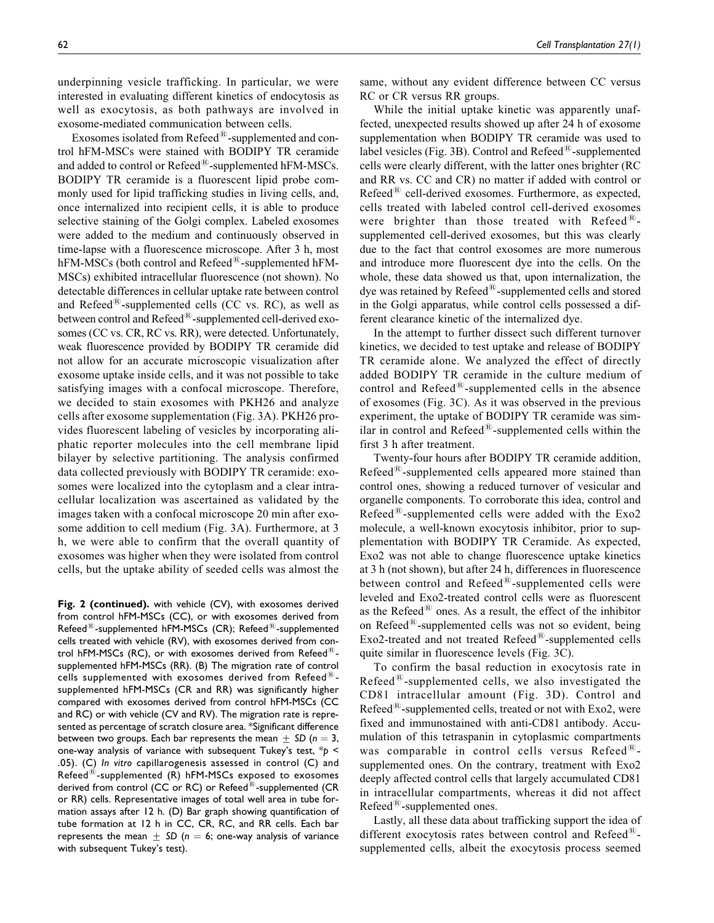underpinning vesicle trafficking. In particular, we were interested in evaluating different kinetics of endocytosis as well as exocytosis, as both pathways are involved in exosome-mediated communication between cells.

Exosomes isolated from  $\text{Refeed}^{\textcircled{k}}$ -supplemented and control hFM-MSCs were stained with BODIPY TR ceramide and added to control or Refeed®-supplemented hFM-MSCs. BODIPY TR ceramide is a fluorescent lipid probe commonly used for lipid trafficking studies in living cells, and, once internalized into recipient cells, it is able to produce selective staining of the Golgi complex. Labeled exosomes were added to the medium and continuously observed in time-lapse with a fluorescence microscope. After 3 h, most hFM-MSCs (both control and Refeed®-supplemented hFM-MSCs) exhibited intracellular fluorescence (not shown). No detectable differences in cellular uptake rate between control and Refeed<sup> $48$ </sup>-supplemented cells (CC vs. RC), as well as between control and  $\text{Refeed}^{\textcircled{R}}$ -supplemented cell-derived exosomes (CC vs. CR, RC vs. RR), were detected. Unfortunately, weak fluorescence provided by BODIPY TR ceramide did not allow for an accurate microscopic visualization after exosome uptake inside cells, and it was not possible to take satisfying images with a confocal microscope. Therefore, we decided to stain exosomes with PKH26 and analyze cells after exosome supplementation (Fig. 3A). PKH26 provides fluorescent labeling of vesicles by incorporating aliphatic reporter molecules into the cell membrane lipid bilayer by selective partitioning. The analysis confirmed data collected previously with BODIPY TR ceramide: exosomes were localized into the cytoplasm and a clear intracellular localization was ascertained as validated by the images taken with a confocal microscope 20 min after exosome addition to cell medium (Fig. 3A). Furthermore, at 3 h, we were able to confirm that the overall quantity of exosomes was higher when they were isolated from control cells, but the uptake ability of seeded cells was almost the

Fig. 2 (continued). with vehicle (CV), with exosomes derived from control hFM-MSCs (CC), or with exosomes derived from Refeed<sup>®</sup>-supplemented hFM-MSCs (CR); Refeed<sup>®</sup>-supplemented cells treated with vehicle (RV), with exosomes derived from control hFM-MSCs (RC), or with exosomes derived from Refeed $^{(8)}$ supplemented hFM-MSCs (RR). (B) The migration rate of control cells supplemented with exosomes derived from Refeed $^{(8)}$ supplemented hFM-MSCs (CR and RR) was significantly higher compared with exosomes derived from control hFM-MSCs (CC and RC) or with vehicle (CV and RV). The migration rate is represented as percentage of scratch closure area. \*Significant difference between two groups. Each bar represents the mean  $\pm$  SD (n = 3, one-way analysis of variance with subsequent Tukey's test,  $*$ p < .05). (C) In vitro capillarogenesis assessed in control (C) and Refeed $^{(8)}$ -supplemented (R) hFM-MSCs exposed to exosomes derived from control (CC or RC) or Refeed $^{\circledR}$ -supplemented (CR or RR) cells. Representative images of total well area in tube formation assays after 12 h. (D) Bar graph showing quantification of tube formation at 12 h in CC, CR, RC, and RR cells. Each bar represents the mean  $\pm$  SD (n = 6; one-way analysis of variance with subsequent Tukey's test).

same, without any evident difference between CC versus RC or CR versus RR groups.

While the initial uptake kinetic was apparently unaffected, unexpected results showed up after 24 h of exosome supplementation when BODIPY TR ceramide was used to label vesicles (Fig. 3B). Control and  $\text{Refeed}^{\text{\tiny (B)}}$ -supplemented cells were clearly different, with the latter ones brighter (RC and RR vs. CC and CR) no matter if added with control or Refeed<sup> $48$ </sup> cell-derived exosomes. Furthermore, as expected, cells treated with labeled control cell-derived exosomes were brighter than those treated with Refeed<sup>®</sup>supplemented cell-derived exosomes, but this was clearly due to the fact that control exosomes are more numerous and introduce more fluorescent dye into the cells. On the whole, these data showed us that, upon internalization, the dye was retained by  $\text{Refeed}^{\textcircled{B}}$ -supplemented cells and stored in the Golgi apparatus, while control cells possessed a different clearance kinetic of the internalized dye.

In the attempt to further dissect such different turnover kinetics, we decided to test uptake and release of BODIPY TR ceramide alone. We analyzed the effect of directly added BODIPY TR ceramide in the culture medium of control and  $Refeed^{\circledR}$ -supplemented cells in the absence of exosomes (Fig. 3C). As it was observed in the previous experiment, the uptake of BODIPY TR ceramide was similar in control and Refeed $^{\circledR}$ -supplemented cells within the first 3 h after treatment.

Twenty-four hours after BODIPY TR ceramide addition,  $Refeed^{\textcircled{k}}$ -supplemented cells appeared more stained than control ones, showing a reduced turnover of vesicular and organelle components. To corroborate this idea, control and Refeed<sup>®</sup>-supplemented cells were added with the  $Exo2$ molecule, a well-known exocytosis inhibitor, prior to supplementation with BODIPY TR Ceramide. As expected, Exo2 was not able to change fluorescence uptake kinetics at 3 h (not shown), but after 24 h, differences in fluorescence between control and Refeed $^{\circledR}$ -supplemented cells were leveled and Exo2-treated control cells were as fluorescent as the Refeed $^{(8)}$  ones. As a result, the effect of the inhibitor on Refeed $^{(8)}$ -supplemented cells was not so evident, being  $Exo2$ -treated and not treated  $Refeed^{\circledR}$ -supplemented cells quite similar in fluorescence levels (Fig. 3C).

To confirm the basal reduction in exocytosis rate in Refeed $^{(8)}$ -supplemented cells, we also investigated the CD81 intracellular amount (Fig. 3D). Control and  $Refeed<sup>(B)</sup>$ -supplemented cells, treated or not with Exo2, were fixed and immunostained with anti-CD81 antibody. Accumulation of this tetraspanin in cytoplasmic compartments was comparable in control cells versus Refeed $^{\circledR}$ supplemented ones. On the contrary, treatment with Exo2 deeply affected control cells that largely accumulated CD81 in intracellular compartments, whereas it did not affect  $Refeed^{\circledR}$ -supplemented ones.

Lastly, all these data about trafficking support the idea of different exocytosis rates between control and Refeed<sup> $48$ </sup>supplemented cells, albeit the exocytosis process seemed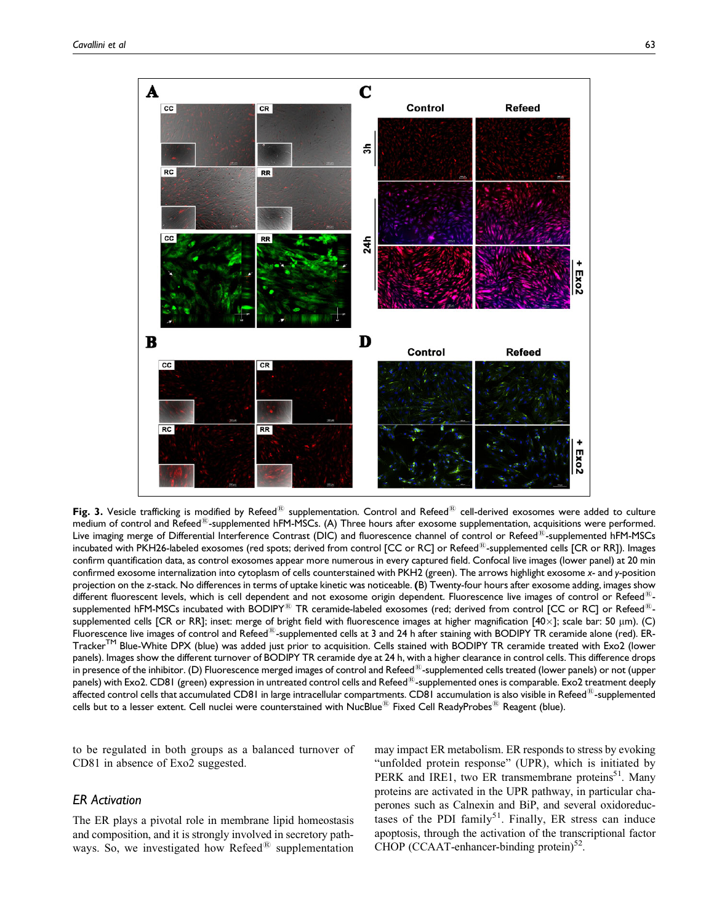

Fig. 3. Vesicle trafficking is modified by Refeed<sup>®</sup> supplementation. Control and Refeed<sup>®</sup> cell-derived exosomes were added to culture medium of control and Refeed $^{\text{th}}$ -supplemented hFM-MSCs. (A) Three hours after exosome supplementation, acquisitions were performed. Live imaging merge of Differential Interference Contrast (DIC) and fluorescence channel of control or Refeed<sup>®</sup>-supplemented hFM-MSCs incubated with PKH26-labeled exosomes (red spots; derived from control [CC or RC] or Refeed<sup>®</sup>-supplemented cells [CR or RR]). Images confirm quantification data, as control exosomes appear more numerous in every captured field. Confocal live images (lower panel) at 20 min confirmed exosome internalization into cytoplasm of cells counterstained with PKH2 (green). The arrows highlight exosome x- and y-position projection on the z-stack. No differences in terms of uptake kinetic was noticeable. (B) Twenty-four hours after exosome adding, images show different fluorescent levels, which is cell dependent and not exosome origin dependent. Fluorescence live images of control or Refeed<sup>®</sup>supplemented hFM-MSCs incubated with BODIPY<sup>®</sup> TR ceramide-labeled exosomes (red; derived from control [CC or RC] or Refeed<sup>®</sup>supplemented cells [CR or RR]; inset: merge of bright field with fluorescence images at higher magnification  $[40\times]$ ; scale bar: 50 µm). (C) Fluorescence live images of control and Refeed<sup>®</sup>-supplemented cells at 3 and 24 h after staining with BODIPY TR ceramide alone (red). ER-Tracker<sup>TM</sup> Blue-White DPX (blue) was added just prior to acquisition. Cells stained with BODIPY TR ceramide treated with Exo2 (lower panels). Images show the different turnover of BODIPY TR ceramide dye at 24 h, with a higher clearance in control cells. This difference drops in presence of the inhibitor. (D) Fluorescence merged images of control and Refeed<sup>®</sup>-supplemented cells treated (lower panels) or not (upper panels) with Exo2. CD81 (green) expression in untreated control cells and Refeed<sup>®</sup>-supplemented ones is comparable. Exo2 treatment deeply affected control cells that accumulated CD81 in large intracellular compartments. CD81 accumulation is also visible in Refeed<sup>®</sup>-supplemented cells but to a lesser extent. Cell nuclei were counterstained with NucBlue<sup>®</sup> Fixed Cell ReadyProbes<sup>®</sup> Reagent (blue).

to be regulated in both groups as a balanced turnover of CD81 in absence of Exo2 suggested.

#### ER Activation

The ER plays a pivotal role in membrane lipid homeostasis and composition, and it is strongly involved in secretory pathways. So, we investigated how Refeed $^{\circledR}$  supplementation

may impact ER metabolism. ER responds to stress by evoking "unfolded protein response" (UPR), which is initiated by PERK and IRE1, two ER transmembrane proteins<sup>51</sup>. Many proteins are activated in the UPR pathway, in particular chaperones such as Calnexin and BiP, and several oxidoreductases of the PDI family<sup>51</sup>. Finally, ER stress can induce apoptosis, through the activation of the transcriptional factor CHOP (CCAAT-enhancer-binding protein) $52$ .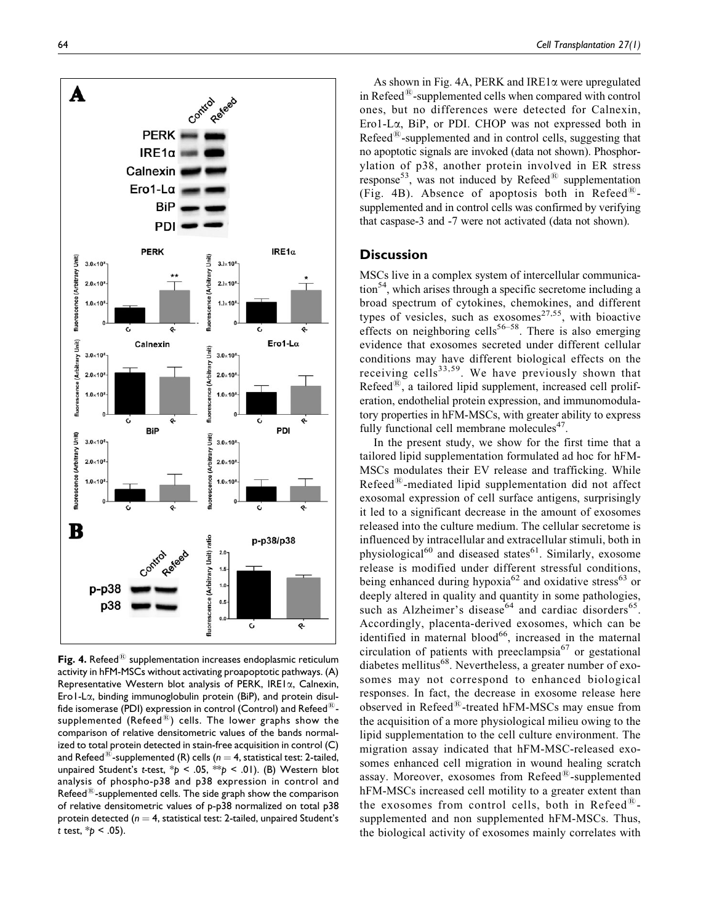

Fig. 4. Refeed $^{\circledR}$  supplementation increases endoplasmic reticulum activity in hFM-MSCs without activating proapoptotic pathways. (A) Representative Western blot analysis of PERK, IRE1a, Calnexin, Ero1-La, binding immunoglobulin protein (BiP), and protein disulfide isomerase (PDI) expression in control (Control) and Refeed $^{\textcircled{\tiny{R}}}$ supplemented (Refeed $^{(8)}$ ) cells. The lower graphs show the comparison of relative densitometric values of the bands normalized to total protein detected in stain-free acquisition in control (C) and Refeed<sup>®</sup>-supplemented (R) cells ( $n = 4$ , statistical test: 2-tailed, unpaired Student's t-test,  $p < .05$ ,  $\ast p < .01$ ). (B) Western blot analysis of phospho-p38 and p38 expression in control and Refeed $^{(8)}$ -supplemented cells. The side graph show the comparison of relative densitometric values of p-p38 normalized on total p38 protein detected ( $n = 4$ , statistical test: 2-tailed, unpaired Student's t test,  $*_{p} < .05$ ).

As shown in Fig. 4A, PERK and IRE1 $\alpha$  were upregulated in Refeed $^{\circledR}$ -supplemented cells when compared with control ones, but no differences were detected for Calnexin, Ero1-La, BiP, or PDI. CHOP was not expressed both in  $Refeed^{\circledR}$ -supplemented and in control cells, suggesting that no apoptotic signals are invoked (data not shown). Phosphorylation of p38, another protein involved in ER stress response<sup>53</sup>, was not induced by Refeed<sup>®</sup> supplementation (Fig. 4B). Absence of apoptosis both in Refeed $^{\circledR}$ supplemented and in control cells was confirmed by verifying that caspase-3 and -7 were not activated (data not shown).

## **Discussion**

MSCs live in a complex system of intercellular communica- $\frac{1}{2}$ , which arises through a specific secretome including a broad spectrum of cytokines, chemokines, and different types of vesicles, such as exosomes<sup>27,55</sup>, with bioactive effects on neighboring cells<sup>56–58</sup>. There is also emerging evidence that exosomes secreted under different cellular conditions may have different biological effects on the receiving cells<sup>33,59</sup>. We have previously shown that Refeed $^{(8)}$ , a tailored lipid supplement, increased cell proliferation, endothelial protein expression, and immunomodulatory properties in hFM-MSCs, with greater ability to express fully functional cell membrane molecules $47$ .

In the present study, we show for the first time that a tailored lipid supplementation formulated ad hoc for hFM-MSCs modulates their EV release and trafficking. While  $Refeed^{\circledR}$ -mediated lipid supplementation did not affect exosomal expression of cell surface antigens, surprisingly it led to a significant decrease in the amount of exosomes released into the culture medium. The cellular secretome is influenced by intracellular and extracellular stimuli, both in physiological<sup>60</sup> and diseased states<sup>61</sup>. Similarly, exosome release is modified under different stressful conditions, being enhanced during hypoxia<sup>62</sup> and oxidative stress<sup>63</sup> or deeply altered in quality and quantity in some pathologies, such as Alzheimer's disease<sup>64</sup> and cardiac disorders<sup>65</sup>. Accordingly, placenta-derived exosomes, which can be identified in maternal blood $^{66}$ , increased in the maternal circulation of patients with preeclampsia $67$  or gestational diabetes mellitus<sup>68</sup>. Nevertheless, a greater number of exosomes may not correspond to enhanced biological responses. In fact, the decrease in exosome release here observed in Refeed $^{(8)}$ -treated hFM-MSCs may ensue from the acquisition of a more physiological milieu owing to the lipid supplementation to the cell culture environment. The migration assay indicated that hFM-MSC-released exosomes enhanced cell migration in wound healing scratch assay. Moreover, exosomes from  $\text{Refeed}^{\textcircled{R}}$ -supplemented hFM-MSCs increased cell motility to a greater extent than the exosomes from control cells, both in Refeed $^{\circledR}$ supplemented and non supplemented hFM-MSCs. Thus, the biological activity of exosomes mainly correlates with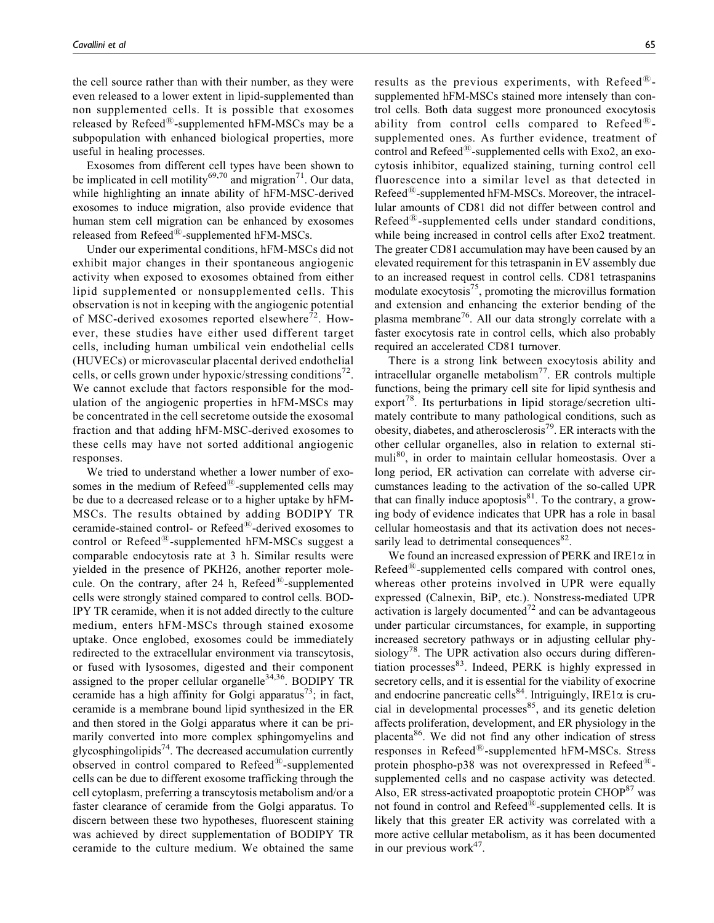the cell source rather than with their number, as they were even released to a lower extent in lipid-supplemented than non supplemented cells. It is possible that exosomes released by  $\text{Refeed}^{\circledR}$ -supplemented hFM-MSCs may be a subpopulation with enhanced biological properties, more useful in healing processes.

Exosomes from different cell types have been shown to be implicated in cell motility<sup>69,70</sup> and migration<sup>71</sup>. Our data, while highlighting an innate ability of hFM-MSC-derived exosomes to induce migration, also provide evidence that human stem cell migration can be enhanced by exosomes released from  $Refeed^{\circledR}$ -supplemented hFM-MSCs.

Under our experimental conditions, hFM-MSCs did not exhibit major changes in their spontaneous angiogenic activity when exposed to exosomes obtained from either lipid supplemented or nonsupplemented cells. This observation is not in keeping with the angiogenic potential of MSC-derived exosomes reported elsewhere<sup>72</sup>. However, these studies have either used different target cells, including human umbilical vein endothelial cells (HUVECs) or microvascular placental derived endothelial cells, or cells grown under hypoxic/stressing conditions<sup> $72$ </sup>. We cannot exclude that factors responsible for the modulation of the angiogenic properties in hFM-MSCs may be concentrated in the cell secretome outside the exosomal fraction and that adding hFM-MSC-derived exosomes to these cells may have not sorted additional angiogenic responses.

We tried to understand whether a lower number of exosomes in the medium of  $\text{Refeed}^{\text{\textregistered}}$ -supplemented cells may be due to a decreased release or to a higher uptake by hFM-MSCs. The results obtained by adding BODIPY TR ceramide-stained control- or Refeed<sup>®</sup>-derived exosomes to control or  $\text{Refeed}^{\text{\tiny(R)}}$ -supplemented hFM-MSCs suggest a comparable endocytosis rate at 3 h. Similar results were yielded in the presence of PKH26, another reporter molecule. On the contrary, after 24 h, Refeed $^{\textcircled{\tiny{R}}}$ -supplemented cells were strongly stained compared to control cells. BOD-IPY TR ceramide, when it is not added directly to the culture medium, enters hFM-MSCs through stained exosome uptake. Once englobed, exosomes could be immediately redirected to the extracellular environment via transcytosis, or fused with lysosomes, digested and their component assigned to the proper cellular organelle<sup>34,36</sup>. BODIPY TR ceramide has a high affinity for Golgi apparatus<sup>73</sup>; in fact, ceramide is a membrane bound lipid synthesized in the ER and then stored in the Golgi apparatus where it can be primarily converted into more complex sphingomyelins and glycosphingolipids<sup>74</sup>. The decreased accumulation currently observed in control compared to  $Refeed^{\circledR}$ -supplemented cells can be due to different exosome trafficking through the cell cytoplasm, preferring a transcytosis metabolism and/or a faster clearance of ceramide from the Golgi apparatus. To discern between these two hypotheses, fluorescent staining was achieved by direct supplementation of BODIPY TR ceramide to the culture medium. We obtained the same

results as the previous experiments, with Refeed $^{\textcircled{\tiny R}}$ supplemented hFM-MSCs stained more intensely than control cells. Both data suggest more pronounced exocytosis ability from control cells compared to Refeed $^{\circledR}$ supplemented ones. As further evidence, treatment of control and Refeed $^{\circledR}$ -supplemented cells with Exo2, an exocytosis inhibitor, equalized staining, turning control cell fluorescence into a similar level as that detected in  $Refeed^{\circledR}$ -supplemented hFM-MSCs. Moreover, the intracellular amounts of CD81 did not differ between control and  $Refeed^{\&}$ -supplemented cells under standard conditions, while being increased in control cells after Exo2 treatment. The greater CD81 accumulation may have been caused by an elevated requirement for this tetraspanin in EV assembly due to an increased request in control cells. CD81 tetraspanins modulate exocytosis<sup>75</sup>, promoting the microvillus formation and extension and enhancing the exterior bending of the plasma membrane<sup>76</sup>. All our data strongly correlate with a faster exocytosis rate in control cells, which also probably required an accelerated CD81 turnover.

There is a strong link between exocytosis ability and intracellular organelle metabolism $^{77}$ . ER controls multiple functions, being the primary cell site for lipid synthesis and export<sup>78</sup>. Its perturbations in lipid storage/secretion ultimately contribute to many pathological conditions, such as obesity, diabetes, and atherosclerosis<sup>79</sup>. ER interacts with the other cellular organelles, also in relation to external stimuli<sup>80</sup>, in order to maintain cellular homeostasis. Over a long period, ER activation can correlate with adverse circumstances leading to the activation of the so-called UPR that can finally induce apoptosis $81$ . To the contrary, a growing body of evidence indicates that UPR has a role in basal cellular homeostasis and that its activation does not necessarily lead to detrimental consequences<sup>82</sup>.

We found an increased expression of PERK and IRE1 $\alpha$  in Refeed $^{\circledR}$ -supplemented cells compared with control ones, whereas other proteins involved in UPR were equally expressed (Calnexin, BiP, etc.). Nonstress-mediated UPR activation is largely documented<sup>72</sup> and can be advantageous under particular circumstances, for example, in supporting increased secretory pathways or in adjusting cellular physiology<sup>78</sup>. The UPR activation also occurs during differentiation processes<sup>83</sup>. Indeed, PERK is highly expressed in secretory cells, and it is essential for the viability of exocrine and endocrine pancreatic cells<sup>84</sup>. Intriguingly, IRE1 $\alpha$  is crucial in developmental processes<sup>85</sup>, and its genetic deletion affects proliferation, development, and ER physiology in the placenta<sup>86</sup>. We did not find any other indication of stress responses in Refeed $^{\circledR}$ -supplemented hFM-MSCs. Stress protein phospho-p38 was not overexpressed in Refeed $^{\textcircled{\tiny{R}}}$ supplemented cells and no caspase activity was detected. Also, ER stress-activated proapoptotic protein CHOP<sup>87</sup> was not found in control and  $Refeed^{\circledR}$ -supplemented cells. It is likely that this greater ER activity was correlated with a more active cellular metabolism, as it has been documented in our previous work $47$ .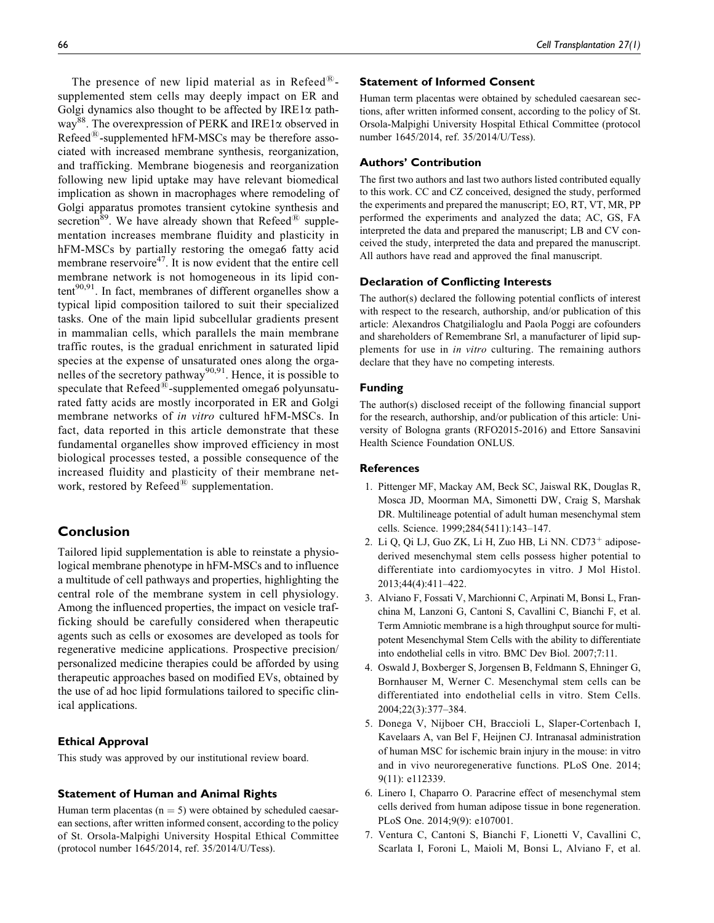The presence of new lipid material as in Refeed $^{\circledR}$ supplemented stem cells may deeply impact on ER and Golgi dynamics also thought to be affected by  $IRE1\alpha$  pathway<sup>88</sup>. The overexpression of PERK and IRE1 $\alpha$  observed in  $Refeed^{\circledR}$ -supplemented hFM-MSCs may be therefore associated with increased membrane synthesis, reorganization, and trafficking. Membrane biogenesis and reorganization following new lipid uptake may have relevant biomedical implication as shown in macrophages where remodeling of Golgi apparatus promotes transient cytokine synthesis and secretion<sup>89</sup>. We have already shown that Refeed<sup> $48$ </sup> supplementation increases membrane fluidity and plasticity in hFM-MSCs by partially restoring the omega6 fatty acid membrane reservoire<sup>47</sup>. It is now evident that the entire cell membrane network is not homogeneous in its lipid content<sup>90,91</sup>. In fact, membranes of different organelles show a typical lipid composition tailored to suit their specialized tasks. One of the main lipid subcellular gradients present in mammalian cells, which parallels the main membrane traffic routes, is the gradual enrichment in saturated lipid species at the expense of unsaturated ones along the organelles of the secretory pathway<sup>90,91</sup>. Hence, it is possible to speculate that  $Refeed^{\circledR}$ -supplemented omega6 polyunsaturated fatty acids are mostly incorporated in ER and Golgi membrane networks of in vitro cultured hFM-MSCs. In fact, data reported in this article demonstrate that these fundamental organelles show improved efficiency in most biological processes tested, a possible consequence of the increased fluidity and plasticity of their membrane network, restored by Refeed $^{\textcircled{\tiny{R}}}$  supplementation.

# Conclusion

Tailored lipid supplementation is able to reinstate a physiological membrane phenotype in hFM-MSCs and to influence a multitude of cell pathways and properties, highlighting the central role of the membrane system in cell physiology. Among the influenced properties, the impact on vesicle trafficking should be carefully considered when therapeutic agents such as cells or exosomes are developed as tools for regenerative medicine applications. Prospective precision/ personalized medicine therapies could be afforded by using therapeutic approaches based on modified EVs, obtained by the use of ad hoc lipid formulations tailored to specific clinical applications.

#### Ethical Approval

This study was approved by our institutional review board.

#### Statement of Human and Animal Rights

Human term placentas ( $n = 5$ ) were obtained by scheduled caesarean sections, after written informed consent, according to the policy of St. Orsola-Malpighi University Hospital Ethical Committee (protocol number 1645/2014, ref. 35/2014/U/Tess).

#### Statement of Informed Consent

Human term placentas were obtained by scheduled caesarean sections, after written informed consent, according to the policy of St. Orsola-Malpighi University Hospital Ethical Committee (protocol number 1645/2014, ref. 35/2014/U/Tess).

#### Authors' Contribution

The first two authors and last two authors listed contributed equally to this work. CC and CZ conceived, designed the study, performed the experiments and prepared the manuscript; EO, RT, VT, MR, PP performed the experiments and analyzed the data; AC, GS, FA interpreted the data and prepared the manuscript; LB and CV conceived the study, interpreted the data and prepared the manuscript. All authors have read and approved the final manuscript.

#### Declaration of Conflicting Interests

The author(s) declared the following potential conflicts of interest with respect to the research, authorship, and/or publication of this article: Alexandros Chatgilialoglu and Paola Poggi are cofounders and shareholders of Remembrane Srl, a manufacturer of lipid supplements for use in *in vitro* culturing. The remaining authors declare that they have no competing interests.

#### Funding

The author(s) disclosed receipt of the following financial support for the research, authorship, and/or publication of this article: University of Bologna grants (RFO2015-2016) and Ettore Sansavini Health Science Foundation ONLUS.

#### References

- 1. Pittenger MF, Mackay AM, Beck SC, Jaiswal RK, Douglas R, Mosca JD, Moorman MA, Simonetti DW, Craig S, Marshak DR. Multilineage potential of adult human mesenchymal stem cells. Science. 1999;284(5411):143–147.
- 2. Li Q, Qi LJ, Guo ZK, Li H, Zuo HB, Li NN.  $CD73^+$  adiposederived mesenchymal stem cells possess higher potential to differentiate into cardiomyocytes in vitro. J Mol Histol. 2013;44(4):411–422.
- 3. Alviano F, Fossati V, Marchionni C, Arpinati M, Bonsi L, Franchina M, Lanzoni G, Cantoni S, Cavallini C, Bianchi F, et al. Term Amniotic membrane is a high throughput source for multipotent Mesenchymal Stem Cells with the ability to differentiate into endothelial cells in vitro. BMC Dev Biol. 2007;7:11.
- 4. Oswald J, Boxberger S, Jorgensen B, Feldmann S, Ehninger G, Bornhauser M, Werner C. Mesenchymal stem cells can be differentiated into endothelial cells in vitro. Stem Cells. 2004;22(3):377–384.
- 5. Donega V, Nijboer CH, Braccioli L, Slaper-Cortenbach I, Kavelaars A, van Bel F, Heijnen CJ. Intranasal administration of human MSC for ischemic brain injury in the mouse: in vitro and in vivo neuroregenerative functions. PLoS One. 2014; 9(11): e112339.
- 6. Linero I, Chaparro O. Paracrine effect of mesenchymal stem cells derived from human adipose tissue in bone regeneration. PLoS One. 2014;9(9): e107001.
- 7. Ventura C, Cantoni S, Bianchi F, Lionetti V, Cavallini C, Scarlata I, Foroni L, Maioli M, Bonsi L, Alviano F, et al.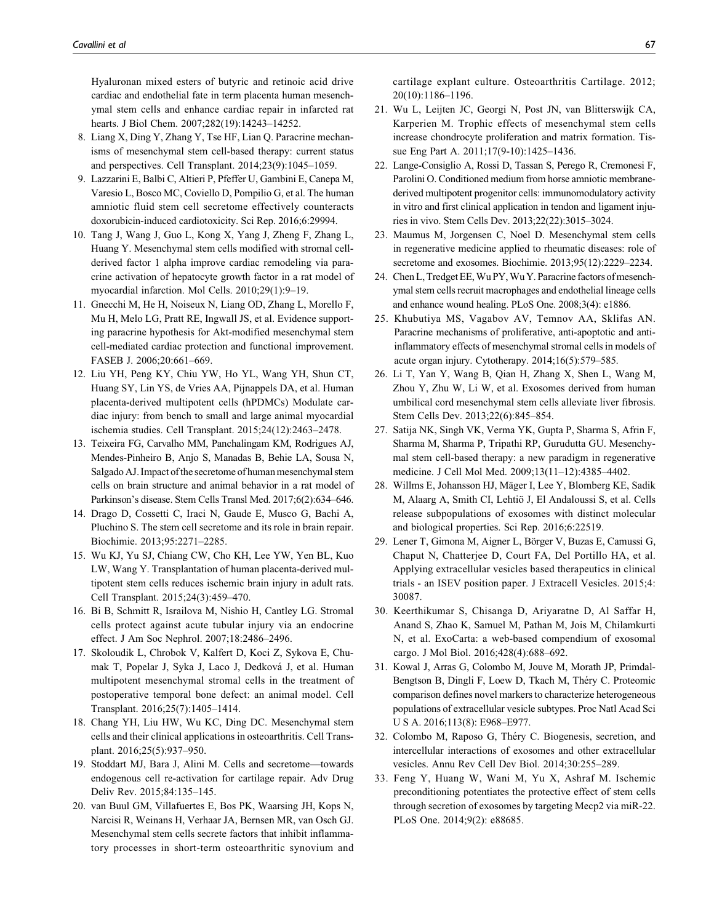Hyaluronan mixed esters of butyric and retinoic acid drive cardiac and endothelial fate in term placenta human mesenchymal stem cells and enhance cardiac repair in infarcted rat hearts. J Biol Chem. 2007;282(19):14243–14252.

- 8. Liang X, Ding Y, Zhang Y, Tse HF, Lian Q. Paracrine mechanisms of mesenchymal stem cell-based therapy: current status and perspectives. Cell Transplant. 2014;23(9):1045–1059.
- 9. Lazzarini E, Balbi C, Altieri P, Pfeffer U, Gambini E, Canepa M, Varesio L, Bosco MC, Coviello D, Pompilio G, et al. The human amniotic fluid stem cell secretome effectively counteracts doxorubicin-induced cardiotoxicity. Sci Rep. 2016;6:29994.
- 10. Tang J, Wang J, Guo L, Kong X, Yang J, Zheng F, Zhang L, Huang Y. Mesenchymal stem cells modified with stromal cellderived factor 1 alpha improve cardiac remodeling via paracrine activation of hepatocyte growth factor in a rat model of myocardial infarction. Mol Cells. 2010;29(1):9–19.
- 11. Gnecchi M, He H, Noiseux N, Liang OD, Zhang L, Morello F, Mu H, Melo LG, Pratt RE, Ingwall JS, et al. Evidence supporting paracrine hypothesis for Akt-modified mesenchymal stem cell-mediated cardiac protection and functional improvement. FASEB J. 2006;20:661–669.
- 12. Liu YH, Peng KY, Chiu YW, Ho YL, Wang YH, Shun CT, Huang SY, Lin YS, de Vries AA, Pijnappels DA, et al. Human placenta-derived multipotent cells (hPDMCs) Modulate cardiac injury: from bench to small and large animal myocardial ischemia studies. Cell Transplant. 2015;24(12):2463–2478.
- 13. Teixeira FG, Carvalho MM, Panchalingam KM, Rodrigues AJ, Mendes-Pinheiro B, Anjo S, Manadas B, Behie LA, Sousa N, Salgado AJ. Impact of the secretome of human mesenchymal stem cells on brain structure and animal behavior in a rat model of Parkinson's disease. Stem Cells Transl Med. 2017;6(2):634–646.
- 14. Drago D, Cossetti C, Iraci N, Gaude E, Musco G, Bachi A, Pluchino S. The stem cell secretome and its role in brain repair. Biochimie. 2013;95:2271–2285.
- 15. Wu KJ, Yu SJ, Chiang CW, Cho KH, Lee YW, Yen BL, Kuo LW, Wang Y. Transplantation of human placenta-derived multipotent stem cells reduces ischemic brain injury in adult rats. Cell Transplant. 2015;24(3):459–470.
- 16. Bi B, Schmitt R, Israilova M, Nishio H, Cantley LG. Stromal cells protect against acute tubular injury via an endocrine effect. J Am Soc Nephrol. 2007;18:2486–2496.
- 17. Skoloudik L, Chrobok V, Kalfert D, Koci Z, Sykova E, Chumak T, Popelar J, Syka J, Laco J, Dedková J, et al. Human multipotent mesenchymal stromal cells in the treatment of postoperative temporal bone defect: an animal model. Cell Transplant. 2016;25(7):1405–1414.
- 18. Chang YH, Liu HW, Wu KC, Ding DC. Mesenchymal stem cells and their clinical applications in osteoarthritis. Cell Transplant. 2016;25(5):937–950.
- 19. Stoddart MJ, Bara J, Alini M. Cells and secretome—towards endogenous cell re-activation for cartilage repair. Adv Drug Deliv Rev. 2015;84:135–145.
- 20. van Buul GM, Villafuertes E, Bos PK, Waarsing JH, Kops N, Narcisi R, Weinans H, Verhaar JA, Bernsen MR, van Osch GJ. Mesenchymal stem cells secrete factors that inhibit inflammatory processes in short-term osteoarthritic synovium and

cartilage explant culture. Osteoarthritis Cartilage. 2012; 20(10):1186–1196.

- 21. Wu L, Leijten JC, Georgi N, Post JN, van Blitterswijk CA, Karperien M. Trophic effects of mesenchymal stem cells increase chondrocyte proliferation and matrix formation. Tissue Eng Part A. 2011;17(9-10):1425–1436.
- 22. Lange-Consiglio A, Rossi D, Tassan S, Perego R, Cremonesi F, Parolini O. Conditioned medium from horse amniotic membranederived multipotent progenitor cells: immunomodulatory activity in vitro and first clinical application in tendon and ligament injuries in vivo. Stem Cells Dev. 2013;22(22):3015–3024.
- 23. Maumus M, Jorgensen C, Noel D. Mesenchymal stem cells in regenerative medicine applied to rheumatic diseases: role of secretome and exosomes. Biochimie. 2013;95(12):2229–2234.
- 24. Chen L, Tredget EE,Wu PY,Wu Y. Paracrine factors of mesenchymal stem cells recruit macrophages and endothelial lineage cells and enhance wound healing. PLoS One. 2008;3(4): e1886.
- 25. Khubutiya MS, Vagabov AV, Temnov AA, Sklifas AN. Paracrine mechanisms of proliferative, anti-apoptotic and antiinflammatory effects of mesenchymal stromal cells in models of acute organ injury. Cytotherapy. 2014;16(5):579–585.
- 26. Li T, Yan Y, Wang B, Qian H, Zhang X, Shen L, Wang M, Zhou Y, Zhu W, Li W, et al. Exosomes derived from human umbilical cord mesenchymal stem cells alleviate liver fibrosis. Stem Cells Dev. 2013;22(6):845–854.
- 27. Satija NK, Singh VK, Verma YK, Gupta P, Sharma S, Afrin F, Sharma M, Sharma P, Tripathi RP, Gurudutta GU. Mesenchymal stem cell-based therapy: a new paradigm in regenerative medicine. J Cell Mol Med. 2009;13(11–12):4385–4402.
- 28. Willms E, Johansson HJ, Mäger I, Lee Y, Blomberg KE, Sadik M, Alaarg A, Smith CI, Lehtiö J, El Andaloussi S, et al. Cells release subpopulations of exosomes with distinct molecular and biological properties. Sci Rep. 2016;6:22519.
- 29. Lener T, Gimona M, Aigner L, Börger V, Buzas E, Camussi G, Chaput N, Chatterjee D, Court FA, Del Portillo HA, et al. Applying extracellular vesicles based therapeutics in clinical trials - an ISEV position paper. J Extracell Vesicles. 2015;4: 30087.
- 30. Keerthikumar S, Chisanga D, Ariyaratne D, Al Saffar H, Anand S, Zhao K, Samuel M, Pathan M, Jois M, Chilamkurti N, et al. ExoCarta: a web-based compendium of exosomal cargo. J Mol Biol. 2016;428(4):688–692.
- 31. Kowal J, Arras G, Colombo M, Jouve M, Morath JP, Primdal-Bengtson B, Dingli F, Loew D, Tkach M, Théry C. Proteomic comparison defines novel markers to characterize heterogeneous populations of extracellular vesicle subtypes. Proc Natl Acad Sci U S A. 2016;113(8): E968–E977.
- 32. Colombo M, Raposo G, Théry C. Biogenesis, secretion, and intercellular interactions of exosomes and other extracellular vesicles. Annu Rev Cell Dev Biol. 2014;30:255–289.
- 33. Feng Y, Huang W, Wani M, Yu X, Ashraf M. Ischemic preconditioning potentiates the protective effect of stem cells through secretion of exosomes by targeting Mecp2 via miR-22. PLoS One. 2014;9(2): e88685.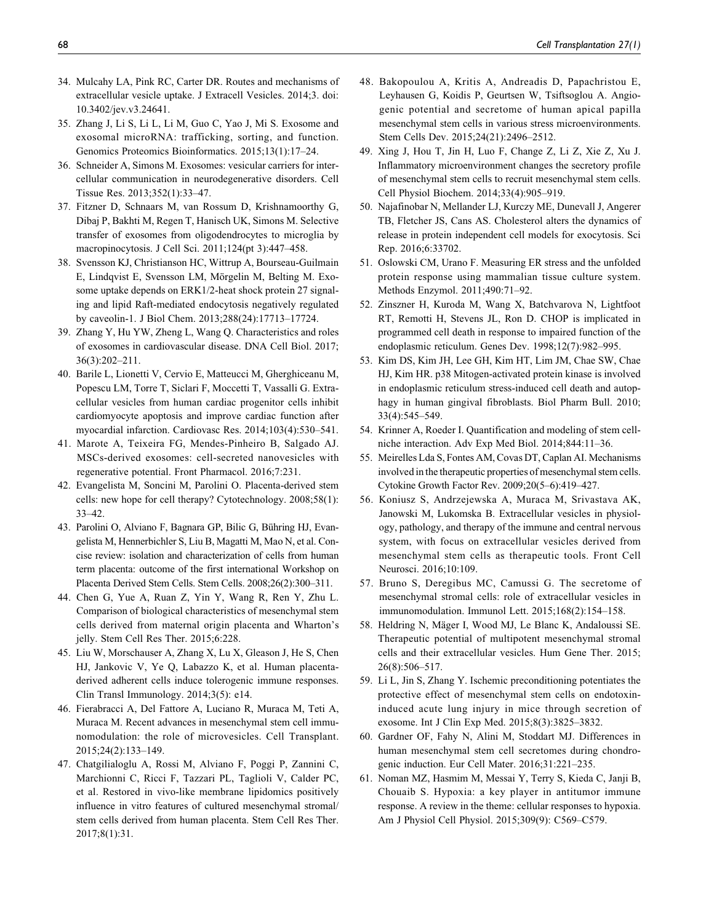- 34. Mulcahy LA, Pink RC, Carter DR. Routes and mechanisms of extracellular vesicle uptake. J Extracell Vesicles. 2014;3. doi: 10.3402/jev.v3.24641.
- 35. Zhang J, Li S, Li L, Li M, Guo C, Yao J, Mi S. Exosome and exosomal microRNA: trafficking, sorting, and function. Genomics Proteomics Bioinformatics. 2015;13(1):17–24.
- 36. Schneider A, Simons M. Exosomes: vesicular carriers for intercellular communication in neurodegenerative disorders. Cell Tissue Res. 2013;352(1):33–47.
- 37. Fitzner D, Schnaars M, van Rossum D, Krishnamoorthy G, Dibaj P, Bakhti M, Regen T, Hanisch UK, Simons M. Selective transfer of exosomes from oligodendrocytes to microglia by macropinocytosis. J Cell Sci. 2011;124(pt 3):447–458.
- 38. Svensson KJ, Christianson HC, Wittrup A, Bourseau-Guilmain E, Lindqvist E, Svensson LM, Mörgelin M, Belting M. Exosome uptake depends on ERK1/2-heat shock protein 27 signaling and lipid Raft-mediated endocytosis negatively regulated by caveolin-1. J Biol Chem. 2013;288(24):17713–17724.
- 39. Zhang Y, Hu YW, Zheng L, Wang Q. Characteristics and roles of exosomes in cardiovascular disease. DNA Cell Biol. 2017; 36(3):202–211.
- 40. Barile L, Lionetti V, Cervio E, Matteucci M, Gherghiceanu M, Popescu LM, Torre T, Siclari F, Moccetti T, Vassalli G. Extracellular vesicles from human cardiac progenitor cells inhibit cardiomyocyte apoptosis and improve cardiac function after myocardial infarction. Cardiovasc Res. 2014;103(4):530–541.
- 41. Marote A, Teixeira FG, Mendes-Pinheiro B, Salgado AJ. MSCs-derived exosomes: cell-secreted nanovesicles with regenerative potential. Front Pharmacol. 2016;7:231.
- 42. Evangelista M, Soncini M, Parolini O. Placenta-derived stem cells: new hope for cell therapy? Cytotechnology. 2008;58(1): 33–42.
- 43. Parolini O, Alviano F, Bagnara GP, Bilic G, Bühring HJ, Evangelista M, Hennerbichler S, Liu B, Magatti M, Mao N, et al. Concise review: isolation and characterization of cells from human term placenta: outcome of the first international Workshop on Placenta Derived Stem Cells. Stem Cells. 2008;26(2):300–311.
- 44. Chen G, Yue A, Ruan Z, Yin Y, Wang R, Ren Y, Zhu L. Comparison of biological characteristics of mesenchymal stem cells derived from maternal origin placenta and Wharton's jelly. Stem Cell Res Ther. 2015;6:228.
- 45. Liu W, Morschauser A, Zhang X, Lu X, Gleason J, He S, Chen HJ, Jankovic V, Ye Q, Labazzo K, et al. Human placentaderived adherent cells induce tolerogenic immune responses. Clin Transl Immunology. 2014;3(5): e14.
- 46. Fierabracci A, Del Fattore A, Luciano R, Muraca M, Teti A, Muraca M. Recent advances in mesenchymal stem cell immunomodulation: the role of microvesicles. Cell Transplant. 2015;24(2):133–149.
- 47. Chatgilialoglu A, Rossi M, Alviano F, Poggi P, Zannini C, Marchionni C, Ricci F, Tazzari PL, Taglioli V, Calder PC, et al. Restored in vivo-like membrane lipidomics positively influence in vitro features of cultured mesenchymal stromal/ stem cells derived from human placenta. Stem Cell Res Ther. 2017;8(1):31.
- 48. Bakopoulou A, Kritis A, Andreadis D, Papachristou E, Leyhausen G, Koidis P, Geurtsen W, Tsiftsoglou A. Angiogenic potential and secretome of human apical papilla mesenchymal stem cells in various stress microenvironments. Stem Cells Dev. 2015;24(21):2496–2512.
- 49. Xing J, Hou T, Jin H, Luo F, Change Z, Li Z, Xie Z, Xu J. Inflammatory microenvironment changes the secretory profile of mesenchymal stem cells to recruit mesenchymal stem cells. Cell Physiol Biochem. 2014;33(4):905–919.
- 50. Najafinobar N, Mellander LJ, Kurczy ME, Dunevall J, Angerer TB, Fletcher JS, Cans AS. Cholesterol alters the dynamics of release in protein independent cell models for exocytosis. Sci Rep. 2016;6:33702.
- 51. Oslowski CM, Urano F. Measuring ER stress and the unfolded protein response using mammalian tissue culture system. Methods Enzymol. 2011;490:71–92.
- 52. Zinszner H, Kuroda M, Wang X, Batchvarova N, Lightfoot RT, Remotti H, Stevens JL, Ron D. CHOP is implicated in programmed cell death in response to impaired function of the endoplasmic reticulum. Genes Dev. 1998;12(7):982–995.
- 53. Kim DS, Kim JH, Lee GH, Kim HT, Lim JM, Chae SW, Chae HJ, Kim HR. p38 Mitogen-activated protein kinase is involved in endoplasmic reticulum stress-induced cell death and autophagy in human gingival fibroblasts. Biol Pharm Bull. 2010; 33(4):545–549.
- 54. Krinner A, Roeder I. Quantification and modeling of stem cellniche interaction. Adv Exp Med Biol. 2014;844:11–36.
- 55. Meirelles Lda S, Fontes AM, Covas DT, Caplan AI. Mechanisms involved in the therapeutic properties of mesenchymal stem cells. Cytokine Growth Factor Rev. 2009;20(5–6):419–427.
- 56. Koniusz S, Andrzejewska A, Muraca M, Srivastava AK, Janowski M, Lukomska B. Extracellular vesicles in physiology, pathology, and therapy of the immune and central nervous system, with focus on extracellular vesicles derived from mesenchymal stem cells as therapeutic tools. Front Cell Neurosci. 2016;10:109.
- 57. Bruno S, Deregibus MC, Camussi G. The secretome of mesenchymal stromal cells: role of extracellular vesicles in immunomodulation. Immunol Lett. 2015;168(2):154–158.
- 58. Heldring N, Mäger I, Wood MJ, Le Blanc K, Andaloussi SE. Therapeutic potential of multipotent mesenchymal stromal cells and their extracellular vesicles. Hum Gene Ther. 2015; 26(8):506–517.
- 59. Li L, Jin S, Zhang Y. Ischemic preconditioning potentiates the protective effect of mesenchymal stem cells on endotoxininduced acute lung injury in mice through secretion of exosome. Int J Clin Exp Med. 2015;8(3):3825–3832.
- 60. Gardner OF, Fahy N, Alini M, Stoddart MJ. Differences in human mesenchymal stem cell secretomes during chondrogenic induction. Eur Cell Mater. 2016;31:221–235.
- 61. Noman MZ, Hasmim M, Messai Y, Terry S, Kieda C, Janji B, Chouaib S. Hypoxia: a key player in antitumor immune response. A review in the theme: cellular responses to hypoxia. Am J Physiol Cell Physiol. 2015;309(9): C569–C579.